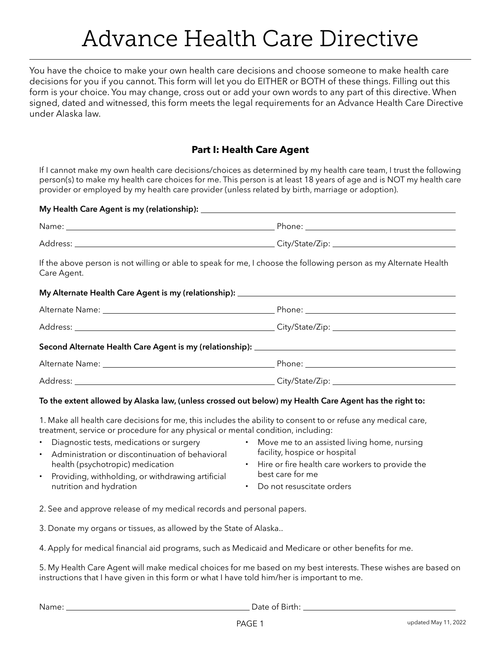# Advance Health Care Directive

You have the choice to make your own health care decisions and choose someone to make health care decisions for you if you cannot. This form will let you do EITHER or BOTH of these things. Filling out this form is your choice. You may change, cross out or add your own words to any part of this directive. When signed, dated and witnessed, this form meets the legal requirements for an Advance Health Care Directive under Alaska law.

## **Part I: Health Care Agent**

If I cannot make my own health care decisions/choices as determined by my health care team, I trust the following person(s) to make my health care choices for me. This person is at least 18 years of age and is NOT my health care provider or employed by my health care provider (unless related by birth, marriage or adoption).

| If the above person is not willing or able to speak for me, I choose the following person as my Alternate Health<br>Care Agent. |  |  |  |
|---------------------------------------------------------------------------------------------------------------------------------|--|--|--|
|                                                                                                                                 |  |  |  |
|                                                                                                                                 |  |  |  |
|                                                                                                                                 |  |  |  |
|                                                                                                                                 |  |  |  |
|                                                                                                                                 |  |  |  |
|                                                                                                                                 |  |  |  |

### **To the extent allowed by Alaska law, (unless crossed out below) my Health Care Agent has the right to:**

1. Make all health care decisions for me, this includes the ability to consent to or refuse any medical care, treatment, service or procedure for any physical or mental condition, including:

- Diagnostic tests, medications or surgery
- Administration or discontinuation of behavioral health (psychotropic) medication
- Move me to an assisted living home, nursing facility, hospice or hospital
- Hire or fire health care workers to provide the best care for me
- Providing, withholding, or withdrawing artificial nutrition and hydration
- Do not resuscitate orders
- 2. See and approve release of my medical records and personal papers.

3. Donate my organs or tissues, as allowed by the State of Alaska..

4. Apply for medical financial aid programs, such as Medicaid and Medicare or other benefits for me.

5. My Health Care Agent will make medical choices for me based on my best interests. These wishes are based on instructions that I have given in this form or what I have told him/her is important to me.

Name: Date of Birth: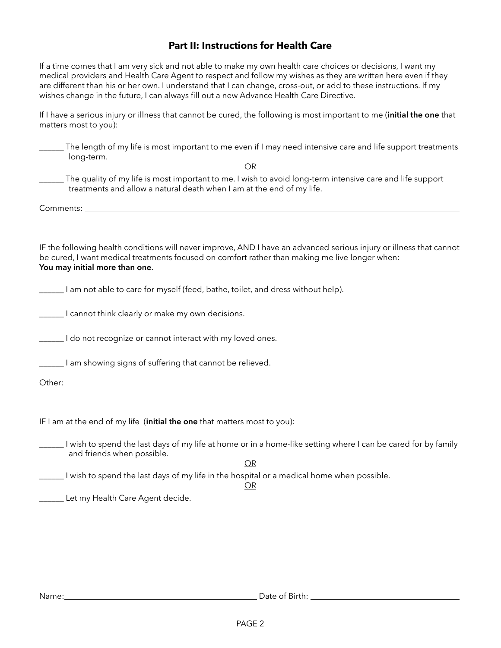## **Part II: Instructions for Health Care**

If a time comes that I am very sick and not able to make my own health care choices or decisions, I want my medical providers and Health Care Agent to respect and follow my wishes as they are written here even if they are different than his or her own. I understand that I can change, cross-out, or add to these instructions. If my wishes change in the future, I can always fill out a new Advance Health Care Directive.

If I have a serious injury or illness that cannot be cured, the following is most important to me (**initial the one** that matters most to you):

| The length of my life is most important to me even if I may need intensive care and life support treatments<br>long-term.                                                                                                                               |
|---------------------------------------------------------------------------------------------------------------------------------------------------------------------------------------------------------------------------------------------------------|
| OR                                                                                                                                                                                                                                                      |
| The quality of my life is most important to me. I wish to avoid long-term intensive care and life support<br>treatments and allow a natural death when I am at the end of my life.                                                                      |
|                                                                                                                                                                                                                                                         |
|                                                                                                                                                                                                                                                         |
| IF the following health conditions will never improve, AND I have an advanced serious injury or illness that cannot<br>be cured, I want medical treatments focused on comfort rather than making me live longer when:<br>You may initial more than one. |
| _____ I am not able to care for myself (feed, bathe, toilet, and dress without help).                                                                                                                                                                   |
| Let I cannot think clearly or make my own decisions.                                                                                                                                                                                                    |
| I do not recognize or cannot interact with my loved ones.                                                                                                                                                                                               |
| Let a showing signs of suffering that cannot be relieved.                                                                                                                                                                                               |
|                                                                                                                                                                                                                                                         |
|                                                                                                                                                                                                                                                         |
| IF I am at the end of my life (initial the one that matters most to you):                                                                                                                                                                               |
| I wish to spend the last days of my life at home or in a home-like setting where I can be cared for by family<br>and friends when possible.                                                                                                             |
| <b>OR</b>                                                                                                                                                                                                                                               |
| I wish to spend the last days of my life in the hospital or a medical home when possible.                                                                                                                                                               |

spita<br><u>OR</u>

Let my Health Care Agent decide.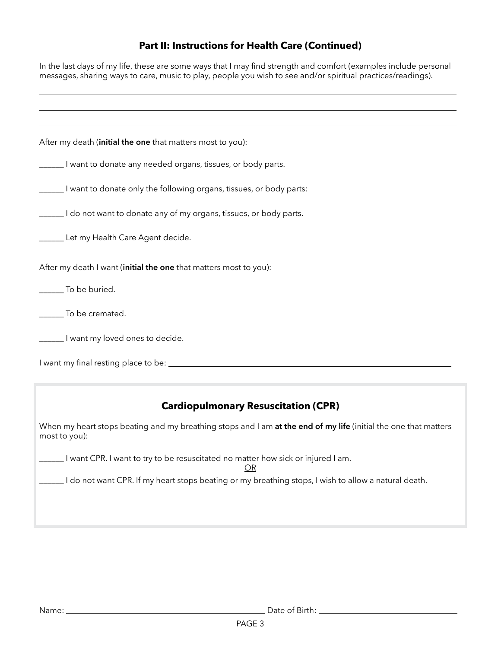# **Part II: Instructions for Health Care (Continued)**

| In the last days of my life, these are some ways that I may find strength and comfort (examples include personal<br>messages, sharing ways to care, music to play, people you wish to see and/or spiritual practices/readings). |  |  |  |  |
|---------------------------------------------------------------------------------------------------------------------------------------------------------------------------------------------------------------------------------|--|--|--|--|
|                                                                                                                                                                                                                                 |  |  |  |  |
| After my death (initial the one that matters most to you):                                                                                                                                                                      |  |  |  |  |
| ______ I want to donate any needed organs, tissues, or body parts.                                                                                                                                                              |  |  |  |  |
| I want to donate only the following organs, tissues, or body parts: ________________________________                                                                                                                            |  |  |  |  |
| Let a ldo not want to donate any of my organs, tissues, or body parts.                                                                                                                                                          |  |  |  |  |
| Let my Health Care Agent decide.                                                                                                                                                                                                |  |  |  |  |
| After my death I want (initial the one that matters most to you):                                                                                                                                                               |  |  |  |  |
| ______ To be buried.                                                                                                                                                                                                            |  |  |  |  |
| _______ To be cremated.                                                                                                                                                                                                         |  |  |  |  |
| _______ I want my loved ones to decide.                                                                                                                                                                                         |  |  |  |  |
|                                                                                                                                                                                                                                 |  |  |  |  |
| <b>Cardiopulmonary Resuscitation (CPR)</b>                                                                                                                                                                                      |  |  |  |  |
| When my heart stops beating and my breathing stops and I am at the end of my life (initial the one that matters<br>most to you):                                                                                                |  |  |  |  |
| _____I want CPR. I want to try to be resuscitated no matter how sick or injured I am.<br>OR                                                                                                                                     |  |  |  |  |
| I do not want CPR. If my heart stops beating or my breathing stops, I wish to allow a natural death.                                                                                                                            |  |  |  |  |

Name: Date of Birth: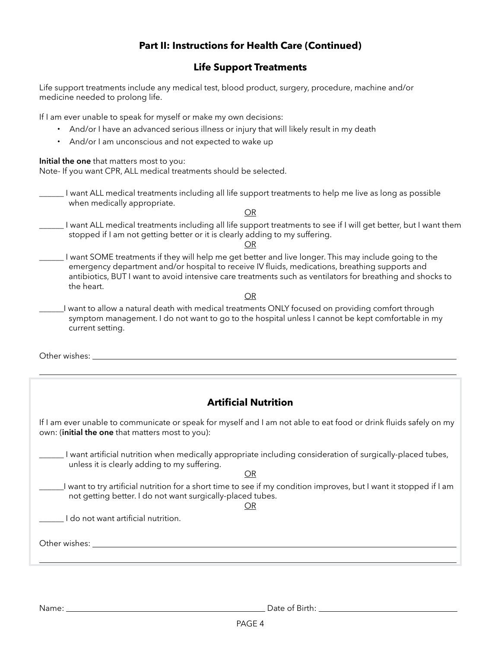## **Part II: Instructions for Health Care (Continued)**

## **Life Support Treatments**

Life support treatments include any medical test, blood product, surgery, procedure, machine and/or medicine needed to prolong life.

If I am ever unable to speak for myself or make my own decisions:

- And/or I have an advanced serious illness or injury that will likely result in my death
- And/or I am unconscious and not expected to wake up

**Initial the one** that matters most to you:

Note- If you want CPR, ALL medical treatments should be selected.

\_\_\_\_\_\_ I want ALL medical treatments including all life support treatments to help me live as long as possible when medically appropriate.

OR

\_\_\_\_\_\_ I want ALL medical treatments including all life support treatments to see if I will get better, but I want them stopped if I am not getting better or it is clearly adding to my suffering.

OR

\_\_\_\_\_\_ I want SOME treatments if they will help me get better and live longer. This may include going to the emergency department and/or hospital to receive IV fluids, medications, breathing supports and antibiotics, BUT I want to avoid intensive care treatments such as ventilators for breathing and shocks to the heart.

OR

\_\_\_\_\_\_I want to allow a natural death with medical treatments ONLY focused on providing comfort through symptom management. I do not want to go to the hospital unless I cannot be kept comfortable in my current setting.

Other wishes:

## **Artificial Nutrition**

If I am ever unable to communicate or speak for myself and I am not able to eat food or drink fluids safely on my own: (**initial the one** that matters most to you):

\_\_\_\_\_\_ I want artificial nutrition when medically appropriate including consideration of surgically-placed tubes, unless it is clearly adding to my suffering.

OR

\_\_\_\_\_\_I want to try artificial nutrition for a short time to see if my condition improves, but I want it stopped if I am not getting better. I do not want surgically-placed tubes.

OR

I do not want artificial nutrition.

Other wishes:

Name: Date of Birth: